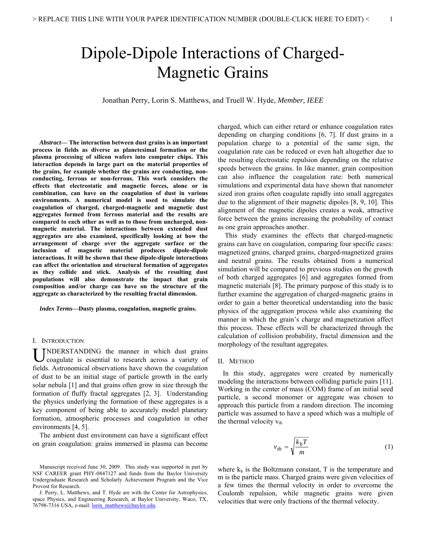# Dipole-Dipole Interactions of Charged-Magnetic Grains

Jonathan Perry, Lorin S. Matthews, and Truell W. Hyde, *Member, IEEE*

*Abstract***— The interaction between dust grains is an important process in fields as diverse as planetesimal formation or the plasma processing of silicon wafers into computer chips. This interaction depends in large part on the material properties of the grains, for example whether the grains are conducting, nonconducting, ferrous or non-ferrous. This work considers the effects that electrostatic and magnetic forces, alone or in combination, can have on the coagulation of dust in various environments. A numerical model is used to simulate the coagulation of charged, charged-magnetic and magnetic dust aggregates formed from ferrous material and the results are compared to each other as well as to those from uncharged, nonmagnetic material. The interactions between extended dust aggregates are also examined, specifically looking at how the arrangement of charge over the aggregate surface or the inclusion of magnetic material produces dipole-dipole interactions. It will be shown that these dipole-dipole interactions can affect the orientation and structural formation of aggregates as they collide and stick. Analysis of the resulting dust populations will also demonstrate the impact that grain composition and/or charge can have on the structure of the aggregate as characterized by the resulting fractal dimension.** 

*Index Terms***—Dusty plasma, coagulation, magnetic grains.** 

## I. INTRODUCTION

NDERSTANDING the manner in which dust grains coagulate is essential to research across a variety of fields. Astronomical observations have shown the coagulation of dust to be an initial stage of particle growth in the early solar nebula [1] and that grains often grow in size through the formation of fluffy fractal aggregates [2, 3]. Understanding the physics underlying the formation of these aggregates is a key component of being able to accurately model planetary formation, atmospheric processes and coagulation in other environments [4, 5]. U

 The ambient dust environment can have a significant effect on grain coagulation: grains immersed in plasma can become

charged, which can either retard or enhance coagulation rates depending on charging conditions [6, 7]. If dust grains in a population charge to a potential of the same sign, the coagulation rate can be reduced or even halt altogether due to the resulting electrostatic repulsion depending on the relative speeds between the grains. In like manner, grain composition can also influence the coagulation rate: both numerical simulations and experimental data have shown that nanometer sized iron grains often coagulate rapidly into small aggregates due to the alignment of their magnetic dipoles [8, 9, 10]. This alignment of the magnetic dipoles creates a weak, attractive force between the grains increasing the probability of contact as one grain approaches another.

 This study examines the effects that charged-magnetic grains can have on coagulation, comparing four specific cases: magnetized grains, charged grains, charged-magnetized grains and neutral grains. The results obtained from a numerical simulation will be compared to previous studies on the growth of both charged aggregates [6] and aggregates formed from magnetic materials [8]. The primary purpose of this study is to further examine the aggregation of charged-magnetic grains in order to gain a better theoretical understanding into the basic physics of the aggregation process while also examining the manner in which the grain's charge and magnetization affect this process. These effects will be characterized through the calculation of collision probability, fractal dimension and the morphology of the resultant aggregates.

## II. METHOD

In this study, aggregates were created by numerically modeling the interactions between colliding particle pairs [11]. Working in the center of mass (COM) frame of an initial seed particle, a second monomer or aggregate was chosen to approach this particle from a random direction. The incoming particle was assumed to have a speed which was a multiple of the thermal velocity  $v_{th}$ 

$$
v_{th} = \sqrt{\frac{k_b T}{m}}\tag{1}
$$

where  $k_b$  is the Boltzmann constant, T is the temperature and m is the particle mass. Charged grains were given velocities of a few times the thermal velocity in order to overcome the Coulomb repulsion, while magnetic grains were given velocities that were only fractions of the thermal velocity.

Manuscript received June 30, 2009. This study was supported in part by NSF CAREER grant PHY-0847127 and funds from the Baylor University Undergraduate Research and Scholarly Achievement Program and the Vice Provost for Research.

J. Perry, L. Matthews, and T. Hyde are with the Center for Astrophysics, space Physics, and Engineering Research, at Baylor University, Waco, TX, 76798-7316 USA, e-mail: [lorin\\_matthews@baylor.edu](mailto:lorin_matthews@baylor.edu).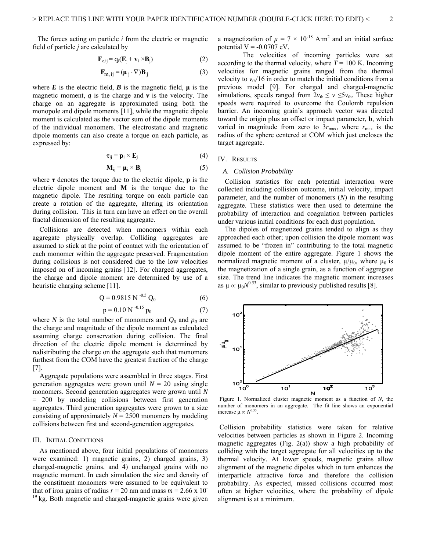The forces acting on particle *i* from the electric or magnetic field of particle *j* are calculated by

$$
\mathbf{F}_{e,ij} = q_i(\mathbf{E}_j + \mathbf{v}_i \times \mathbf{B}_j)
$$
 (2)

$$
\mathbf{F}_{m,ij} = (\mathbf{\mu}_j \cdot \nabla) \mathbf{B}_j \tag{3}
$$

where  $\vec{E}$  is the electric field,  $\vec{B}$  is the magnetic field,  $\mu$  is the magnetic moment,  $q$  is the charge and  $\nu$  is the velocity. The charge on an aggregate is approximated using both the monopole and dipole moments [11], while the magnetic dipole moment is calculated as the vector sum of the dipole moments of the individual monomers. The electrostatic and magnetic dipole moments can also create a torque on each particle, as expressed by:

$$
\boldsymbol{\tau}_{ij} = \mathbf{p}_i \times \mathbf{E}_j \tag{4}
$$

$$
\mathbf{M}_{ij} = \mathbf{\mu}_i \times \mathbf{B}_j \tag{5}
$$

where  $\tau$  denotes the torque due to the electric dipole, **p** is the electric dipole moment and **M** is the torque due to the magnetic dipole. The resulting torque on each particle can create a rotation of the aggregate, altering its orientation during collision. This in turn can have an effect on the overall fractal dimension of the resulting aggregate.

 Collisions are detected when monomers within each aggregate physically overlap. Colliding aggregates are assumed to stick at the point of contact with the orientation of each monomer within the aggregate preserved. Fragmentation during collisions is not considered due to the low velocities imposed on of incoming grains [12]. For charged aggregates, the charge and dipole moment are determined by use of a heuristic charging scheme [11].

$$
Q = 0.9815 N^{-0.5} Q_0
$$
 (6)

$$
p = 0.10 \text{ N}^{-0.15} p_0 \tag{7}
$$

where *N* is the total number of monomers and  $Q_0$  and  $p_0$  are the charge and magnitude of the dipole moment as calculated assuming charge conservation during collision. The final direction of the electric dipole moment is determined by redistributing the charge on the aggregate such that monomers furthest from the COM have the greatest fraction of the charge [7].

 Aggregate populations were assembled in three stages. First generation aggregates were grown until  $N = 20$  using single monomers. Second generation aggregates were grown until *N*  = 200 by modeling collisions between first generation aggregates. Third generation aggregates were grown to a size consisting of approximately  $N = 2500$  monomers by modeling collisions between first and second-generation aggregates.

## III. INITIAL CONDITIONS

As mentioned above, four initial populations of monomers were examined: 1) magnetic grains, 2) charged grains, 3) charged-magnetic grains, and 4) uncharged grains with no magnetic moment. In each simulation the size and density of the constituent monomers were assumed to be equivalent to that of iron grains of radius  $r = 20$  nm and mass  $m = 2.66 \times 10^{-7}$ <sup>19</sup> kg. Both magnetic and charged-magnetic grains were given

a magnetization of  $\mu = 7 \times 10^{-18}$  A·m<sup>2</sup> and an initial surface potential  $V = -0.0707$  eV.

The velocities of incoming particles were set according to the thermal velocity, where  $T = 100$  K. Incoming velocities for magnetic grains ranged from the thermal velocity to  $v_{\text{th}}/16$  in order to match the initial conditions from a previous model [9]. For charged and charged-magnetic simulations, speeds ranged from  $2v_{\text{th}} \le v \le 5v_{\text{th}}$ . These higher speeds were required to overcome the Coulomb repulsion barrier. An incoming grain's approach vector was directed toward the origin plus an offset or impact parameter, **b**, which varied in magnitude from zero to  $3r_{\text{max}}$ , where  $r_{\text{max}}$  is the radius of the sphere centered at COM which just encloses the target aggregate.

### IV. RESULTS

## *A. Collision Probability*

 Collision statistics for each potential interaction were collected including collision outcome, initial velocity, impact parameter, and the number of monomers (*N*) in the resulting aggregate. These statistics were then used to determine the probability of interaction and coagulation between particles under various initial conditions for each dust population.

 The dipoles of magnetized grains tended to align as they approached each other; upon collision the dipole moment was assumed to be "frozen in" contributing to the total magnetic dipole moment of the entire aggregate. Figure 1 shows the normalized magnetic moment of a cluster,  $\mu/\mu_0$ , where  $\mu_0$  is the magnetization of a single grain, as a function of aggregate size. The trend line indicates the magnetic moment increases as  $\mu \propto \mu_0 N^{0.53}$ , similar to previously published results [8].



Figure 1. Normalized cluster magnetic moment as a function of *N*, the number of monomers in an aggregate. The fit line shows an exponential increase  $\mu \propto N^{0.53}$ .

 Collision probability statistics were taken for relative velocities between particles as shown in Figure 2. Incoming magnetic aggregates (Fig. 2(a)) show a high probability of colliding with the target aggregate for all velocities up to the thermal velocity. At lower speeds, magnetic grains allow alignment of the magnetic dipoles which in turn enhances the interparticle attractive force and therefore the collision probability. As expected, missed collisions occurred most often at higher velocities, where the probability of dipole alignment is at a minimum.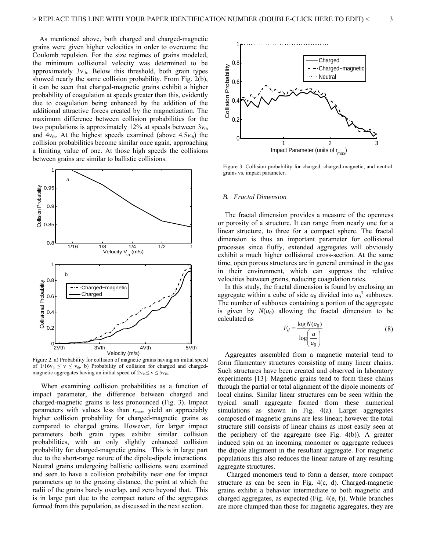As mentioned above, both charged and charged-magnetic grains were given higher velocities in order to overcome the Coulomb repulsion. For the size regimes of grains modeled, the minimum collisional velocity was determined to be approximately  $3v_{th}$ . Below this threshold, both grain types showed nearly the same collision probability. From Fig. 2(b), it can be seen that charged-magnetic grains exhibit a higher probability of coagulation at speeds greater than this, evidently due to coagulation being enhanced by the addition of the additional attractive forces created by the magnetization. The maximum difference between collision probabilities for the two populations is approximately 12% at speeds between  $3v_{th}$ and  $4v_{\text{th}}$ . At the highest speeds examined (above  $4.5v_{\text{th}}$ ) the collision probabilities become similar once again, approaching a limiting value of one. At those high speeds the collisions between grains are similar to ballistic collisions.



Figure 2. a) Probability for collision of magnetic grains having an initial speed of  $1/16v_{th} \le v \le v_{th}$ . b) Probability of collision for charged and chargedmagnetic aggregates having an initial speed of  $2v_{th} \le v \le 5v_{th}$ .

 When examining collision probabilities as a function of impact parameter, the difference between charged and charged-magnetic grains is less pronounced (Fig. 3). Impact parameters with values less than  $r_{\text{max}}$ , yield an appreciably higher collision probability for charged-magnetic grains as compared to charged grains. However, for larger impact parameters both grain types exhibit similar collision probabilities, with an only slightly enhanced collision probability for charged-magnetic grains. This is in large part due to the short-range nature of the dipole-dipole interactions. Neutral grains undergoing ballistic collisions were examined and seen to have a collision probability near one for impact parameters up to the grazing distance, the point at which the radii of the grains barely overlap, and zero beyond that. This is in large part due to the compact nature of the aggregates formed from this population, as discussed in the next section.



 grains vs. impact parameter. Figure 3. Collision probability for charged, charged-magnetic, and neutral

#### *B. Fractal Dimension*

 The fractal dimension provides a measure of the openness or porosity of a structure. It can range from nearly one for a linear structure, to three for a compact sphere. The fractal dimension is thus an important parameter for collisional processes since fluffy, extended aggregates will obviously exhibit a much higher collisional cross-section. At the same time, open porous structures are in general entrained in the gas in their environment, which can suppress the relative velocities between grains, reducing coagulation rates.

 In this study, the fractal dimension is found by enclosing an aggregate within a cube of side  $a_0$  divided into  $a_0^3$  subboxes. The number of subboxes containing a portion of the aggregate is given by  $N(a_0)$  allowing the fractal dimension to be calculated as

$$
F_d = \frac{\log N(a_0)}{\log \left(\frac{a}{a_0}\right)}\tag{8}
$$

 Aggregates assembled from a magnetic material tend to form filamentary structures consisting of many linear chains. Such structures have been created and observed in laboratory experiments [13]. Magnetic grains tend to form these chains through the partial or total alignment of the dipole moments of local chains. Similar linear structures can be seen within the typical small aggregate formed from these numerical simulations as shown in Fig. 4(a). Larger aggregates composed of magnetic grains are less linear; however the total structure still consists of linear chains as most easily seen at the periphery of the aggregate (see Fig. 4(b)). A greater induced spin on an incoming monomer or aggregate reduces the dipole alignment in the resultant aggregate. For magnetic populations this also reduces the linear nature of any resulting aggregate structures.

 Charged monomers tend to form a denser, more compact structure as can be seen in Fig. 4(c, d). Charged-magnetic grains exhibit a behavior intermediate to both magnetic and charged aggregates, as expected (Fig. 4(e, f)). While branches are more clumped than those for magnetic aggregates, they are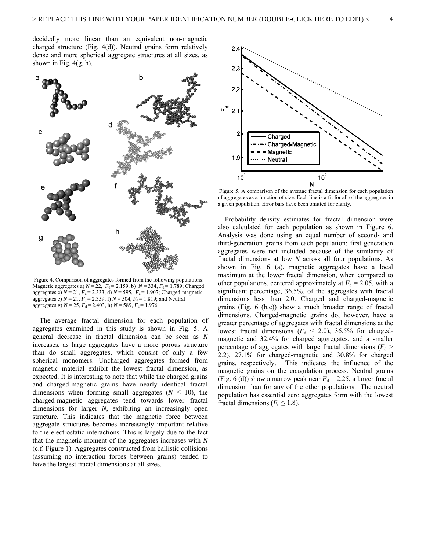decidedly more linear than an equivalent non-magnetic charged structure (Fig. 4(d)). Neutral grains form relatively dense and more spherical aggregate structures at all sizes, as shown in Fig.  $4(g, h)$ .



 Figure 4. Comparison of aggregates formed from the following populations: Magnetic aggregates a)  $N = 22$ ,  $F_d = 2.159$ , b)  $N = 334$ ,  $F_d = 1.789$ ; Charged aggregates c)  $N = 21$ ,  $F_d = 2.333$ , d)  $N = 595$ ,  $F_d = 1.907$ ; Charged-magnetic aggregates e)  $N = 21$ ,  $F_d = 2.359$ , f)  $N = 504$ ,  $F_d = 1.819$ ; and Neutral aggregates g)  $N = 25$ ,  $F_d = 2.403$ , h)  $N = 589$ ,  $F_d = 1.976$ .

 The average fractal dimension for each population of aggregates examined in this study is shown in Fig. 5. A general decrease in fractal dimension can be seen as *N* increases, as large aggregates have a more porous structure than do small aggregates, which consist of only a few spherical monomers. Uncharged aggregates formed from magnetic material exhibit the lowest fractal dimension, as expected. It is interesting to note that while the charged grains and charged-magnetic grains have nearly identical fractal dimensions when forming small aggregates ( $N \leq 10$ ), the charged-magnetic aggregates tend towards lower fractal dimensions for larger *N*, exhibiting an increasingly open structure. This indicates that the magnetic force between aggregate structures becomes increasingly important relative to the electrostatic interactions. This is largely due to the fact that the magnetic moment of the aggregates increases with *N* (c.f. Figure 1). Aggregates constructed from ballistic collisions (assuming no interaction forces between grains) tended to have the largest fractal dimensions at all sizes.



 Figure 5. A comparison of the average fractal dimension for each population of aggregates as a function of size. Each line is a fit for all of the aggregates in a given population. Error bars have been omitted for clarity.

 Probability density estimates for fractal dimension were also calculated for each population as shown in Figure 6. Analysis was done using an equal number of second- and third-generation grains from each population; first generation aggregates were not included because of the similarity of fractal dimensions at low *N* across all four populations. As shown in Fig. 6 (a), magnetic aggregates have a local maximum at the lower fractal dimension, when compared to other populations, centered approximately at  $F_d = 2.05$ , with a significant percentage, 36.5%, of the aggregates with fractal dimensions less than 2.0. Charged and charged-magnetic grains (Fig. 6 (b,c)) show a much broader range of fractal dimensions. Charged-magnetic grains do, however, have a greater percentage of aggregates with fractal dimensions at the lowest fractal dimensions  $(F_d < 2.0)$ , 36.5% for chargedmagnetic and 32.4% for charged aggregates, and a smaller percentage of aggregates with large fractal dimensions  $(F_d >$ 2.2), 27.1% for charged-magnetic and 30.8% for charged grains, respectively. This indicates the influence of the magnetic grains on the coagulation process. Neutral grains (Fig. 6 (d)) show a narrow peak near  $F_d = 2.25$ , a larger fractal dimension than for any of the other populations. The neutral population has essential zero aggregates form with the lowest fractal dimensions ( $F_d \leq 1.8$ ).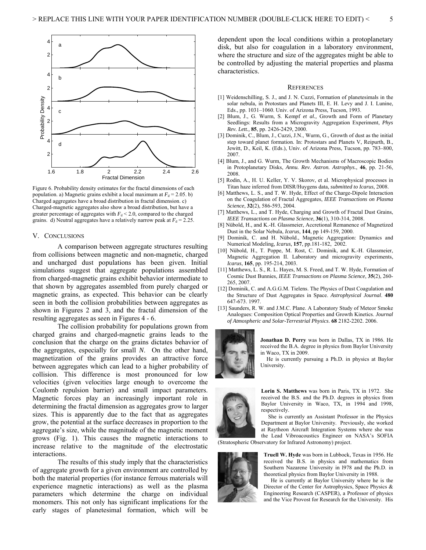

Figure 6. Probability density estimates for the fractal dimensions of each population. a) Magnetic grains exhibit a local maximum at  $F_d = 2.05$ . b) Charged aggregates have a broad distribution in fractal dimension. c) Charged-magnetic aggregates also show a broad distribution, but have a greater percentage of aggregates with  $F_d < 2.0$ , compared to the charged grains. d) Neutral aggregates have a relatively narrow peak at  $F_d = 2.25$ .

## V. CONCLUSIONS

A comparison between aggregate structures resulting from collisions between magnetic and non-magnetic, charged and uncharged dust populations has been given. Initial simulations suggest that aggregate populations assembled from charged-magnetic grains exhibit behavior intermediate to that shown by aggregates assembled from purely charged or magnetic grains, as expected. This behavior can be clearly seen in both the collision probabilities between aggregates as shown in Figures 2 and 3, and the fractal dimension of the resulting aggregates as seen in Figures 4 - 6.

The collision probability for populations grown from charged grains and charged-magnetic grains leads to the conclusion that the charge on the grains dictates behavior of the aggregates, especially for small *N*. On the other hand, magnetization of the grains provides an attractive force between aggregates which can lead to a higher probability of collision. This difference is most pronounced for low velocities (given velocities large enough to overcome the Coulomb repulsion barrier) and small impact parameters. Magnetic forces play an increasingly important role in determining the fractal dimension as aggregates grow to larger sizes. This is apparently due to the fact that as aggregates grow, the potential at the surface decreases in proportion to the aggregate's size, while the magnitude of the magnetic moment grows (Fig. 1). This causes the magnetic interactions to increase relative to the magnitude of the electrostatic interactions.

The results of this study imply that the characteristics of aggregate growth for a given environment are controlled by both the material properties (for instance ferrous materials will experience magnetic interactions) as well as the plasma parameters which determine the charge on individual monomers. This not only has significant implications for the early stages of planetesimal formation, which will be dependent upon the local conditions within a protoplanetary disk, but also for coagulation in a laboratory environment, where the structure and size of the aggregates might be able to be controlled by adjusting the material properties and plasma characteristics.

#### **REFERENCES**

- [1] Weidenschilling, S. J., and J. N. Cuzzi, Formation of planetesimals in the solar nebula, in Protostars and Planets III, E. H. Levy and J. I. Lunine, Eds., pp. 1031–1060. Univ. of Arizona Press, Tucson, 1993.
- [2] Blum, J., G. Wurm, S. Kempf *et al.,* Growth and Form of Planetary Seedlings: Results from a Microgravity Aggregation Experiment, *Phys Rev. Lett.,* **85**, pp. 2426-2429, 2000.
- [3] Dominik, C., Blum, J., Cuzzi, J.N., Wurm, G., Growth of dust as the initial step toward planet formation. In: Protostars and Planets V, Reipurth, B., Jewitt, D., Keil, K. (Eds.), Univ. of Arizona Press, Tucson, pp. 783–800, 2007.
- [4] Blum, J., and G. Wurm, The Growth Mechanisms of Macroscopic Bodies in Protoplanetary Disks, *Annu. Rev. Astron. Astrophys.*, **46**, pp. 21-56, 2008.
- [5] Rodin, A., H. U. Keller, Y. V. Skorov, et al. Microphysical processes in Titan haze inferred from DISR/Huygens data, *submitted to Icarus*, 2008.
- [6] Matthews, L. S., and T. W. Hyde, Effect of the Charge-Dipole Interaction on the Coagulation of Fractal Aggregates, *IEEE Transactions on Plasma Science*, **32**(2), 586-593, 2004.
- [7] Matthews, L., and T. Hyde, Charging and Growth of Fractal Dust Grains, *IEEE Transactions on Plasma Science*, **36**(1), 310-314, 2008.
- [8] Nübold, H., and K.-H. Glassmeier, Accretional Remanence of Magnetized Dust in the Solar Nebula, *Icarus*, **144**, pp 149-159, 2000.
- [9] Dominik, C. and H. Nübold., Magnetic Aggregation: Dynamics and Numerical Modeling, *Icarus,* **157**, pp.181-182, 2002.
- [10] Nübold, H., T. Poppe, M. Rost, C. Dominik, and K.-H. Glassmeier, Magnetic Aggregation II. Laboratory and microgravity experiments, *Icarus*, **165**, pp. 195-214, 2003.
- [11] Matthews, L. S., R. L. Hayes, M. S. Freed, and T. W. Hyde, Formation of Cosmic Dust Bunnies, *IEEE Transactions on Plasma Science*, **35**(2), 260- 265, 2007.
- [12] Dominik, C. and A.G.G.M. Tielens. The Physics of Dust Coagulation and the Structure of Dust Aggregates in Space. *Astrophysical Journal*. **480** 647-673. 1997.
- [13] Saunders, R. W. and J.M.C. Plane. A Laboratory Study of Meteor Smoke Analogues: Composition Optical Properties and Growth Kinetics. *Journal of Atmospheric and Solar-Terrestrial Physics*. **68** 2182-2202. 2006.



**Jonathan D. Perry** was born in Dallas, TX in 1986. He received the B.A. degree in physics from Baylor University in Waco, TX in 2009.

He is currently pursuing a Ph.D. in physics at Baylor University.



**Lorin S. Matthews** was born in Paris, TX in 1972. She received the B.S. and the Ph.D. degrees in physics from Baylor University in Waco, TX, in 1994 and 1998, respectively.

 She is currently an Assistant Professor in the Physics Department at Baylor University. Previously, she worked at Raytheon Aircraft Integration Systems where she was the Lead Vibroacoustics Engineer on NASA's SOFIA

(Stratospheric Observatory for Infrared Astronomy) project.



**Truell W. Hyde** was born in Lubbock, Texas in 1956. He received the B.S. in physics and mathematics from Southern Nazarene University in l978 and the Ph.D. in theoretical physics from Baylor University in 1988.

He is currently at Baylor University where he is the Director of the Center for Astrophysics, Space Physics & Engineering Research (CASPER), a Professor of physics and the Vice Provost for Research for the University. His